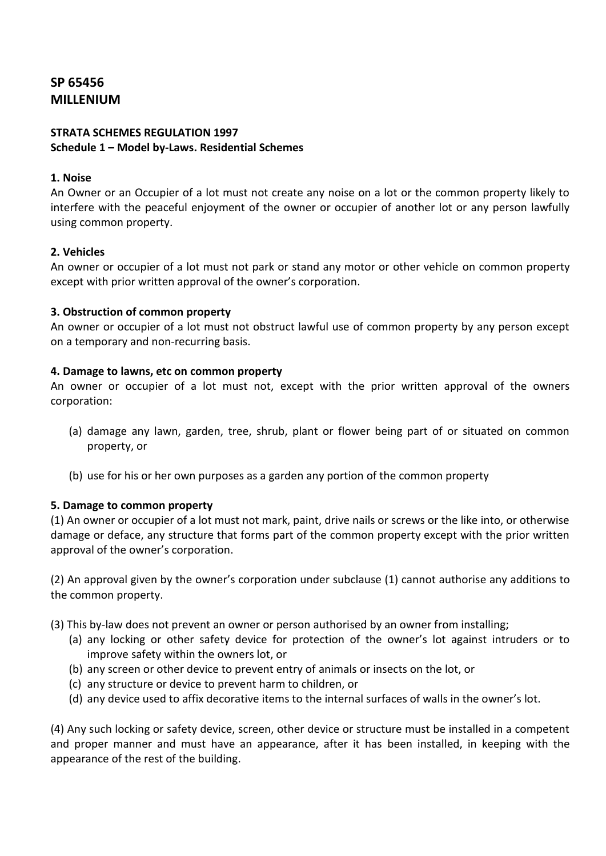# **SP 65456 MILLENIUM**

## **STRATA SCHEMES REGULATION 1997 Schedule 1 – Model by-Laws. Residential Schemes**

## **1. Noise**

An Owner or an Occupier of a lot must not create any noise on a lot or the common property likely to interfere with the peaceful enjoyment of the owner or occupier of another lot or any person lawfully using common property.

## **2. Vehicles**

An owner or occupier of a lot must not park or stand any motor or other vehicle on common property except with prior written approval of the owner's corporation.

#### **3. Obstruction of common property**

An owner or occupier of a lot must not obstruct lawful use of common property by any person except on a temporary and non-recurring basis.

## **4. Damage to lawns, etc on common property**

An owner or occupier of a lot must not, except with the prior written approval of the owners corporation:

- (a) damage any lawn, garden, tree, shrub, plant or flower being part of or situated on common property, or
- (b) use for his or her own purposes as a garden any portion of the common property

# **5. Damage to common property**

(1) An owner or occupier of a lot must not mark, paint, drive nails or screws or the like into, or otherwise damage or deface, any structure that forms part of the common property except with the prior written approval of the owner's corporation.

(2) An approval given by the owner's corporation under subclause (1) cannot authorise any additions to the common property.

- (3) This by-law does not prevent an owner or person authorised by an owner from installing;
	- (a) any locking or other safety device for protection of the owner's lot against intruders or to improve safety within the owners lot, or
	- (b) any screen or other device to prevent entry of animals or insects on the lot, or
	- (c) any structure or device to prevent harm to children, or
	- (d) any device used to affix decorative items to the internal surfaces of walls in the owner's lot.

(4) Any such locking or safety device, screen, other device or structure must be installed in a competent and proper manner and must have an appearance, after it has been installed, in keeping with the appearance of the rest of the building.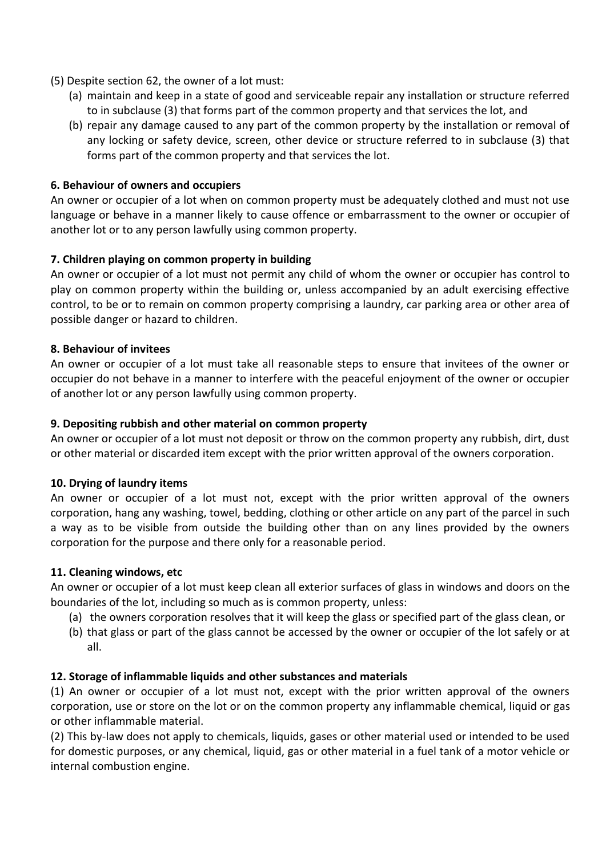- (5) Despite section 62, the owner of a lot must:
	- (a) maintain and keep in a state of good and serviceable repair any installation or structure referred to in subclause (3) that forms part of the common property and that services the lot, and
	- (b) repair any damage caused to any part of the common property by the installation or removal of any locking or safety device, screen, other device or structure referred to in subclause (3) that forms part of the common property and that services the lot.

## **6. Behaviour of owners and occupiers**

An owner or occupier of a lot when on common property must be adequately clothed and must not use language or behave in a manner likely to cause offence or embarrassment to the owner or occupier of another lot or to any person lawfully using common property.

## **7. Children playing on common property in building**

An owner or occupier of a lot must not permit any child of whom the owner or occupier has control to play on common property within the building or, unless accompanied by an adult exercising effective control, to be or to remain on common property comprising a laundry, car parking area or other area of possible danger or hazard to children.

#### **8. Behaviour of invitees**

An owner or occupier of a lot must take all reasonable steps to ensure that invitees of the owner or occupier do not behave in a manner to interfere with the peaceful enjoyment of the owner or occupier of another lot or any person lawfully using common property.

#### **9. Depositing rubbish and other material on common property**

An owner or occupier of a lot must not deposit or throw on the common property any rubbish, dirt, dust or other material or discarded item except with the prior written approval of the owners corporation.

#### **10. Drying of laundry items**

An owner or occupier of a lot must not, except with the prior written approval of the owners corporation, hang any washing, towel, bedding, clothing or other article on any part of the parcel in such a way as to be visible from outside the building other than on any lines provided by the owners corporation for the purpose and there only for a reasonable period.

#### **11. Cleaning windows, etc**

An owner or occupier of a lot must keep clean all exterior surfaces of glass in windows and doors on the boundaries of the lot, including so much as is common property, unless:

- (a) the owners corporation resolves that it will keep the glass or specified part of the glass clean, or
- (b) that glass or part of the glass cannot be accessed by the owner or occupier of the lot safely or at all.

#### **12. Storage of inflammable liquids and other substances and materials**

(1) An owner or occupier of a lot must not, except with the prior written approval of the owners corporation, use or store on the lot or on the common property any inflammable chemical, liquid or gas or other inflammable material.

(2) This by-law does not apply to chemicals, liquids, gases or other material used or intended to be used for domestic purposes, or any chemical, liquid, gas or other material in a fuel tank of a motor vehicle or internal combustion engine.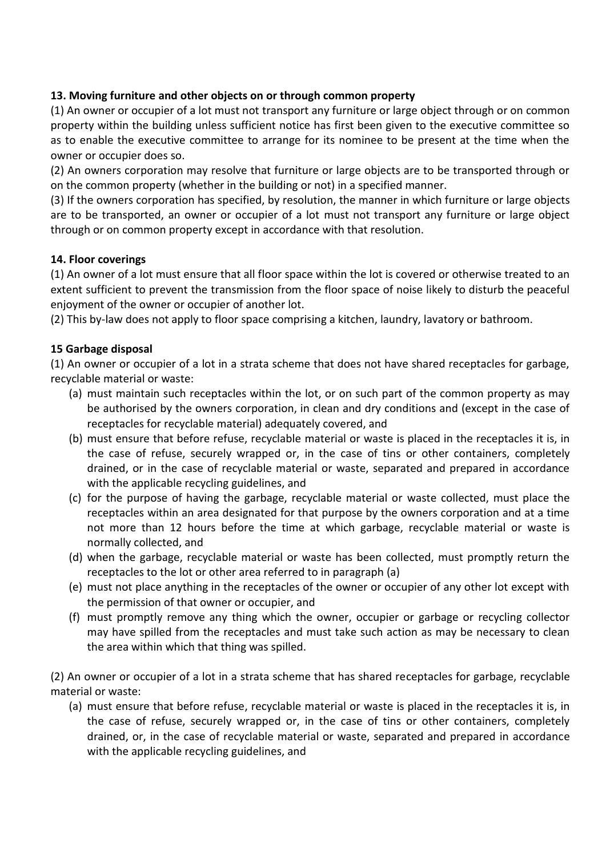# **13. Moving furniture and other objects on or through common property**

(1) An owner or occupier of a lot must not transport any furniture or large object through or on common property within the building unless sufficient notice has first been given to the executive committee so as to enable the executive committee to arrange for its nominee to be present at the time when the owner or occupier does so.

(2) An owners corporation may resolve that furniture or large objects are to be transported through or on the common property (whether in the building or not) in a specified manner.

(3) If the owners corporation has specified, by resolution, the manner in which furniture or large objects are to be transported, an owner or occupier of a lot must not transport any furniture or large object through or on common property except in accordance with that resolution.

## **14. Floor coverings**

(1) An owner of a lot must ensure that all floor space within the lot is covered or otherwise treated to an extent sufficient to prevent the transmission from the floor space of noise likely to disturb the peaceful enjoyment of the owner or occupier of another lot.

(2) This by-law does not apply to floor space comprising a kitchen, laundry, lavatory or bathroom.

# **15 Garbage disposal**

(1) An owner or occupier of a lot in a strata scheme that does not have shared receptacles for garbage, recyclable material or waste:

- (a) must maintain such receptacles within the lot, or on such part of the common property as may be authorised by the owners corporation, in clean and dry conditions and (except in the case of receptacles for recyclable material) adequately covered, and
- (b) must ensure that before refuse, recyclable material or waste is placed in the receptacles it is, in the case of refuse, securely wrapped or, in the case of tins or other containers, completely drained, or in the case of recyclable material or waste, separated and prepared in accordance with the applicable recycling guidelines, and
- (c) for the purpose of having the garbage, recyclable material or waste collected, must place the receptacles within an area designated for that purpose by the owners corporation and at a time not more than 12 hours before the time at which garbage, recyclable material or waste is normally collected, and
- (d) when the garbage, recyclable material or waste has been collected, must promptly return the receptacles to the lot or other area referred to in paragraph (a)
- (e) must not place anything in the receptacles of the owner or occupier of any other lot except with the permission of that owner or occupier, and
- (f) must promptly remove any thing which the owner, occupier or garbage or recycling collector may have spilled from the receptacles and must take such action as may be necessary to clean the area within which that thing was spilled.

(2) An owner or occupier of a lot in a strata scheme that has shared receptacles for garbage, recyclable material or waste:

(a) must ensure that before refuse, recyclable material or waste is placed in the receptacles it is, in the case of refuse, securely wrapped or, in the case of tins or other containers, completely drained, or, in the case of recyclable material or waste, separated and prepared in accordance with the applicable recycling guidelines, and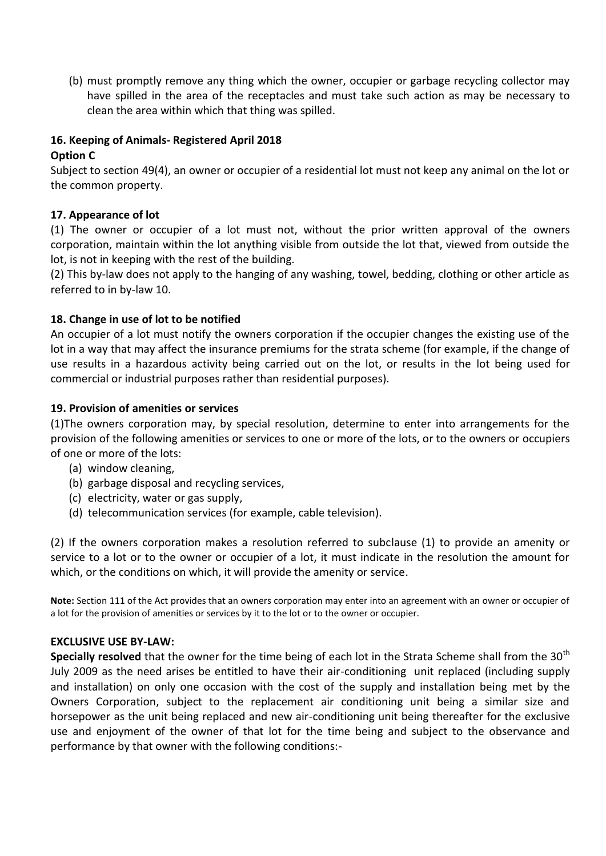(b) must promptly remove any thing which the owner, occupier or garbage recycling collector may have spilled in the area of the receptacles and must take such action as may be necessary to clean the area within which that thing was spilled.

## **16. Keeping of Animals- Registered April 2018**

## **Option C**

Subject to section 49(4), an owner or occupier of a residential lot must not keep any animal on the lot or the common property.

## **17. Appearance of lot**

(1) The owner or occupier of a lot must not, without the prior written approval of the owners corporation, maintain within the lot anything visible from outside the lot that, viewed from outside the lot, is not in keeping with the rest of the building.

(2) This by-law does not apply to the hanging of any washing, towel, bedding, clothing or other article as referred to in by-law 10.

## **18. Change in use of lot to be notified**

An occupier of a lot must notify the owners corporation if the occupier changes the existing use of the lot in a way that may affect the insurance premiums for the strata scheme (for example, if the change of use results in a hazardous activity being carried out on the lot, or results in the lot being used for commercial or industrial purposes rather than residential purposes).

## **19. Provision of amenities or services**

(1)The owners corporation may, by special resolution, determine to enter into arrangements for the provision of the following amenities or services to one or more of the lots, or to the owners or occupiers of one or more of the lots:

- (a) window cleaning,
- (b) garbage disposal and recycling services,
- (c) electricity, water or gas supply,
- (d) telecommunication services (for example, cable television).

(2) If the owners corporation makes a resolution referred to subclause (1) to provide an amenity or service to a lot or to the owner or occupier of a lot, it must indicate in the resolution the amount for which, or the conditions on which, it will provide the amenity or service.

**Note:** Section 111 of the Act provides that an owners corporation may enter into an agreement with an owner or occupier of a lot for the provision of amenities or services by it to the lot or to the owner or occupier.

#### **EXCLUSIVE USE BY-LAW:**

**Specially resolved** that the owner for the time being of each lot in the Strata Scheme shall from the 30<sup>th</sup> July 2009 as the need arises be entitled to have their air-conditioning unit replaced (including supply and installation) on only one occasion with the cost of the supply and installation being met by the Owners Corporation, subject to the replacement air conditioning unit being a similar size and horsepower as the unit being replaced and new air-conditioning unit being thereafter for the exclusive use and enjoyment of the owner of that lot for the time being and subject to the observance and performance by that owner with the following conditions:-